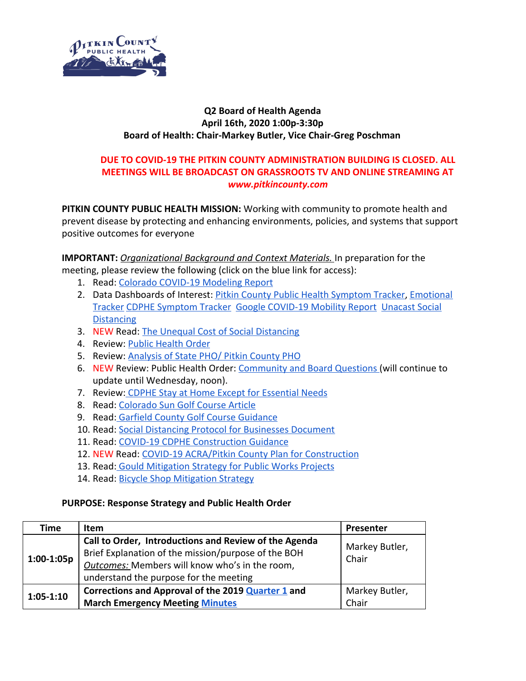

## **Q2 Board of Health Agenda April 16th, 2020 1:00p-3:30p Board of Health: Chair-Markey Butler, Vice Chair-Greg Poschman**

## **DUE TO COVID-19 THE PITKIN COUNTY ADMINISTRATION BUILDING IS CLOSED. ALL MEETINGS WILL BE BROADCAST ON GRASSROOTS TV AND ONLINE STREAMING AT** *www.pitkincounty.com*

**PITKIN COUNTY PUBLIC HEALTH MISSION:** Working with community to promote health and prevent disease by protecting and enhancing environments, policies, and systems that support positive outcomes for everyone

**IMPORTANT:** *Organizational Background and Context Materials.* In preparation for the meeting, please review the following (click on the blue link for access):

- 1. Read: [Colorado COVID-19 Modeling Report](https://drive.google.com/file/d/19ST3tRnntUGV3h7YI0tQHJDnCoL5dRE7/view?usp=sharing)
- 2. Data Dashboards of Interest: [Pitkin County Public Health Symptom Tracker,](https://datastudio.google.com/u/0/reporting/1Ro3JBNSLxmc8HT7JcS_Mch8c7mU60wC7/page/plbIB) [Emotional](https://datastudio.google.com/u/0/reporting/1r8_PipL2qQfHhffqcyfKhBuB1YZIEE3i/page/plbIB) [Tracker](https://datastudio.google.com/u/0/reporting/1r8_PipL2qQfHhffqcyfKhBuB1YZIEE3i/page/plbIB) [CDPHE Symptom Tracker](https://cohealthviz.dphe.state.co.us/t/HealthInformaticsPublic/views/SymptomTrackerUtilizationinColorado/SymptomTrackerUtilizationinColorado?:showVizHome%5B%5D=n&:showAppBanner=false&:origin=viz_share_link&:display_count=n&:showVizHome=n&:isGuestRedirectFromVizportal=y&:embed=y) [Google COVID-19 Mobility Report](https://www.gstatic.com/covid19/mobility/2020-04-05_US_Colorado_Mobility_Report_en.pdf) [Unacast Social](https://www.unacast.com/covid19/social-distancing-scoreboard) **[Distancing](https://www.unacast.com/covid19/social-distancing-scoreboard)**
- 3. NEW Read: [The Unequal Cost of Social Distancing](https://coronavirus.jhu.edu/from-our-experts/the-unequal-cost-of-social-distancing)
- 4. Review: [Public Health Order](https://drive.google.com/file/d/1dXyZTTICG07_C7fHk04iKi8ZwbDlPtT0/view)
- 5. Review: [Analysis of State PHO/ Pitkin County PHO](https://drive.google.com/file/d/1T3VwBWe32Iyz8trzAaaSCmWifghMHL8M/view?usp=sharing)
- 6. NEW Review: Public Health Order: [Community and Board Questions \(](https://docs.google.com/document/d/1ul70DqAl0usCUDD7OfEyRzWY-DxTO48thlmvS9eFbU0/edit?usp=sharing)will continue to update until Wednesday, noon).
- 7. Review[: CDPHE Stay at Home Except for Essential Needs](https://covid19.colorado.gov/stay-home-except-essential-needs)
- 8. Read: [Colorado Sun Golf Course Article](https://coloradosun.com/2020/04/10/colorado-coronavirus-golf-courses-open/)
- 9. Read: [Garfield County Golf Course Guidance](https://drive.google.com/file/d/1FcJmrD6F14t687WysJO2p7qe4mc5vIcJ/view?usp=sharing)
- 10. Read: [Social Distancing Protocol for Businesses Document](https://www.eaglecounty.us/PublicHealth/Documents/Appendix-A-Social-Distancing-Protocol_FINAL/)
- 11. Read: [COVID-19 CDPHE Construction Guidance](https://drive.google.com/file/d/1pMbMK8-bHLjmithMj51rOg6CmZwEI0nV/view)
- 12. NEW Read: [COVID-19 ACRA/Pitkin County Plan for Construction](https://drive.google.com/file/d/1sA09TQWLKj1wNoZuq3xsCFAWNZFY8iFV/view?usp=sharing)
- 13. Read: [Gould Mitigation Strategy for Public Works Projects](https://drive.google.com/file/d/1IvDwMJEiDCdvrS1fKvFweAbBOdSYk_Hv/view?usp=sharing)
- 14. Read: [Bicycle Shop Mitigation Strategy](https://drive.google.com/file/d/1Ax7-waMvciGZLoe9mw6icwuwCUn_RWg0/view?usp=sharing)

## **PURPOSE: Response Strategy and Public Health Order**

| Time          | <b>Item</b>                                                                                                                                                                                                     | Presenter               |
|---------------|-----------------------------------------------------------------------------------------------------------------------------------------------------------------------------------------------------------------|-------------------------|
| $1:00-1:05p$  | Call to Order, Introductions and Review of the Agenda<br>Brief Explanation of the mission/purpose of the BOH<br><b>Outcomes:</b> Members will know who's in the room,<br>understand the purpose for the meeting | Markey Butler,<br>Chair |
| $1:05 - 1:10$ | Corrections and Approval of the 2019 <b>Quarter 1</b> and<br><b>March Emergency Meeting Minutes</b>                                                                                                             | Markey Butler,<br>Chair |